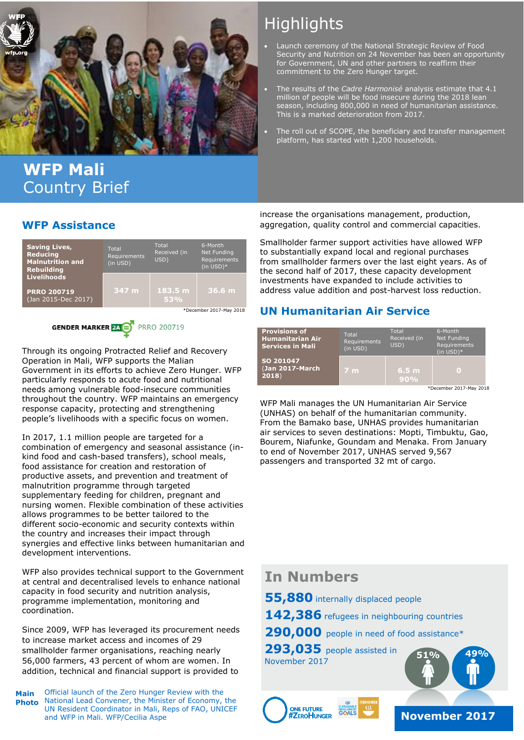

## **WFP Mali** Country Brief

#### **WFP Assistance**



## **GENDER MARKER 24 S** PRRO 200719

Through its ongoing Protracted Relief and Recovery Operation in Mali, WFP supports the Malian Government in its efforts to achieve Zero Hunger. WFP particularly responds to acute food and nutritional needs among vulnerable food-insecure communities throughout the country. WFP maintains an emergency response capacity, protecting and strengthening people's livelihoods with a specific focus on women.

In 2017, 1.1 million people are targeted for a combination of emergency and seasonal assistance (inkind food and cash-based transfers), school meals, food assistance for creation and restoration of productive assets, and prevention and treatment of malnutrition programme through targeted supplementary feeding for children, pregnant and nursing women. Flexible combination of these activities allows programmes to be better tailored to the different socio-economic and security contexts within the country and increases their impact through synergies and effective links between humanitarian and development interventions.

WFP also provides technical support to the Government at central and decentralised levels to enhance national capacity in food security and nutrition analysis, programme implementation, monitoring and coordination.

Since 2009, WFP has leveraged its procurement needs to increase market access and incomes of 29 smallholder farmer organisations, reaching nearly 56,000 farmers, 43 percent of whom are women. In addition, technical and financial support is provided to

Official launch of the Zero Hunger Review with the National Lead Convener, the Minister of Economy, the UN Resident Coordinator in Mali, Reps of FAO, UNICEF and WFP in Mali. WFP/Cecilia Aspe **Main Photo**

# **Highlights**

- Launch ceremony of the National Strategic Review of Food Security and Nutrition on 24 November has been an opportunity for Government, UN and other partners to reaffirm their commitment to the Zero Hunger target.
- The results of the *Cadre Harmonisé* analysis estimate that 4.1 million of people will be food insecure during the 2018 lean season, including 800,000 in need of humanitarian assistance. This is a marked deterioration from 2017.
- The roll out of SCOPE, the beneficiary and transfer management platform, has started with 1,200 households.

increase the organisations management, production, aggregation, quality control and commercial capacities.

Smallholder farmer support activities have allowed WFP to substantially expand local and regional purchases from smallholder farmers over the last eight years. As of the second half of 2017, these capacity development investments have expanded to include activities to address value addition and post-harvest loss reduction.

#### **UN Humanitarian Air Service**

| <b>Provisions of</b><br><b>Humanitarian Air</b><br><b>Services in Mali</b> | Total<br>Requirements<br>(in USD) | Total<br>Received (in<br>USD) | 6-Month<br>Net Funding<br>Requirements<br>$(in USD)*$ |
|----------------------------------------------------------------------------|-----------------------------------|-------------------------------|-------------------------------------------------------|
| SO 201047<br>(Jan 2017-March<br>2018                                       | <b>7 m</b>                        | 6.5 <sub>m</sub><br>90%       | О                                                     |

\*December 2017-May 2018

WFP Mali manages the UN Humanitarian Air Service (UNHAS) on behalf of the humanitarian community. From the Bamako base, UNHAS provides humanitarian air services to seven destinations: Mopti, Timbuktu, Gao, Bourem, Niafunke, Goundam and Menaka. From January to end of November 2017, UNHAS served 9,567 passengers and transported 32 mt of cargo.

### **In Numbers**

**55,880** internally displaced people

**142,386** refugees in neighbouring countries

290,000 people in need of food assistance\*

**293,035** people assisted in **51% 49%** November 2017





**November 2017**